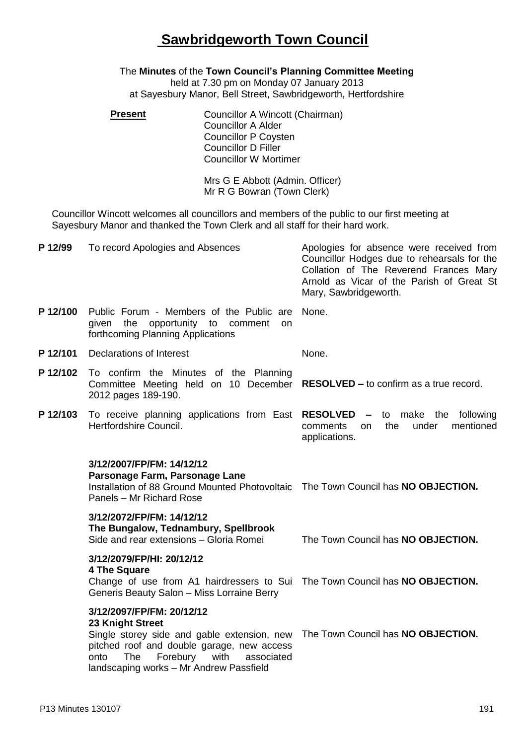## **Sawbridgeworth Town Council**

## The **Minutes** of the **Town Council's Planning Committee Meeting**

held at 7.30 pm on Monday 07 January 2013 at Sayesbury Manor, Bell Street, Sawbridgeworth, Hertfordshire

**Present Councillor A Wincott (Chairman)** Councillor A Alder Councillor P Coysten Councillor D Filler Councillor W Mortimer

> Mrs G E Abbott (Admin. Officer) Mr R G Bowran (Town Clerk)

Councillor Wincott welcomes all councillors and members of the public to our first meeting at Sayesbury Manor and thanked the Town Clerk and all staff for their hard work.

| P 12/99  | To record Apologies and Absences                                                                                                                                                                                                       | Apologies for absence were received from<br>Councillor Hodges due to rehearsals for the<br>Collation of The Reverend Frances Mary<br>Arnold as Vicar of the Parish of Great St<br>Mary, Sawbridgeworth. |
|----------|----------------------------------------------------------------------------------------------------------------------------------------------------------------------------------------------------------------------------------------|---------------------------------------------------------------------------------------------------------------------------------------------------------------------------------------------------------|
| P 12/100 | Public Forum - Members of the Public are<br>opportunity to comment<br>given<br>the<br><b>on</b><br>forthcoming Planning Applications                                                                                                   | None.                                                                                                                                                                                                   |
| P 12/101 | Declarations of Interest                                                                                                                                                                                                               | None.                                                                                                                                                                                                   |
| P 12/102 | To confirm the Minutes of the Planning<br>Committee Meeting held on 10 December<br>2012 pages 189-190.                                                                                                                                 | <b>RESOLVED – to confirm as a true record.</b>                                                                                                                                                          |
| P 12/103 | To receive planning applications from East RESOLVED - to make the following<br>Hertfordshire Council.                                                                                                                                  | the<br>under<br>mentioned<br>comments<br>on<br>applications.                                                                                                                                            |
|          | 3/12/2007/FP/FM: 14/12/12<br>Parsonage Farm, Parsonage Lane<br>Installation of 88 Ground Mounted Photovoltaic The Town Council has NO OBJECTION.<br>Panels - Mr Richard Rose                                                           |                                                                                                                                                                                                         |
|          | 3/12/2072/FP/FM: 14/12/12<br>The Bungalow, Tednambury, Spellbrook<br>Side and rear extensions - Gloria Romei                                                                                                                           | The Town Council has NO OBJECTION.                                                                                                                                                                      |
|          | 3/12/2079/FP/HI: 20/12/12<br>4 The Square<br>Change of use from A1 hairdressers to Sui The Town Council has NO OBJECTION.<br>Generis Beauty Salon - Miss Lorraine Berry                                                                |                                                                                                                                                                                                         |
|          | 3/12/2097/FP/FM: 20/12/12<br>23 Knight Street<br>Single storey side and gable extension, new<br>pitched roof and double garage, new access<br>Forebury<br>The<br>with<br>onto<br>associated<br>landscaping works - Mr Andrew Passfield | The Town Council has NO OBJECTION.                                                                                                                                                                      |